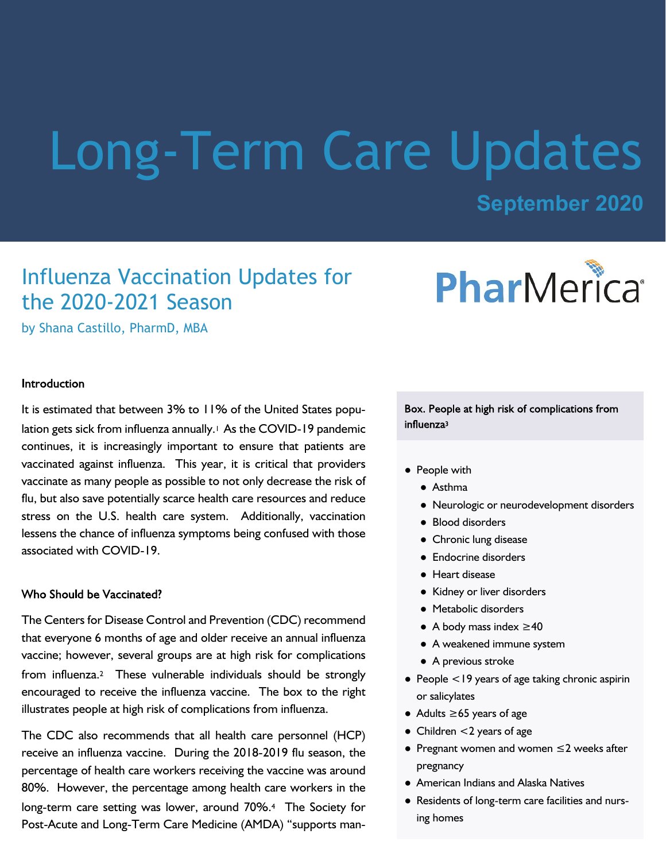# Long-Term Care Updates

# **September 2020**

# Influenza Vaccination Updates for the 2020-2021 Season

PharMerica®

by Shana Castillo, PharmD, MBA

#### Introduction

It is estimated that between 3% to 11% of the United States population gets sick from influenza annually.<sup>1</sup> As the COVID-19 pandemic continues, it is increasingly important to ensure that patients are vaccinated against influenza. This year, it is critical that providers vaccinate as many people as possible to not only decrease the risk of flu, but also save potentially scarce health care resources and reduce stress on the U.S. health care system. Additionally, vaccination lessens the chance of influenza symptoms being confused with those associated with COVID-19.

#### Who Should be Vaccinated?

The Centers for Disease Control and Prevention (CDC) recommend that everyone 6 months of age and older receive an annual influenza vaccine; however, several groups are at high risk for complications from influenza.2 These vulnerable individuals should be strongly encouraged to receive the influenza vaccine. The box to the right illustrates people at high risk of complications from influenza.

The CDC also recommends that all health care personnel (HCP) receive an influenza vaccine. During the 2018-2019 flu season, the percentage of health care workers receiving the vaccine was around 80%. However, the percentage among health care workers in the long-term care setting was lower, around 70%.4 The Society for Post-Acute and Long-Term Care Medicine (AMDA) "supports man-

Box. People at high risk of complications from influenza<sup>3</sup>

- People with
	- Asthma
	- Neurologic or neurodevelopment disorders
	- Blood disorders
	- Chronic lung disease
	- Endocrine disorders
	- Heart disease
	- Kidney or liver disorders
	- Metabolic disorders
	- A body mass index ≥40
	- A weakened immune system
	- A previous stroke
- People <19 years of age taking chronic aspirin or salicylates
- Adults ≥65 years of age
- Children <2 years of age
- Pregnant women and women ≤2 weeks after pregnancy
- American Indians and Alaska Natives
- Residents of long-term care facilities and nursing homes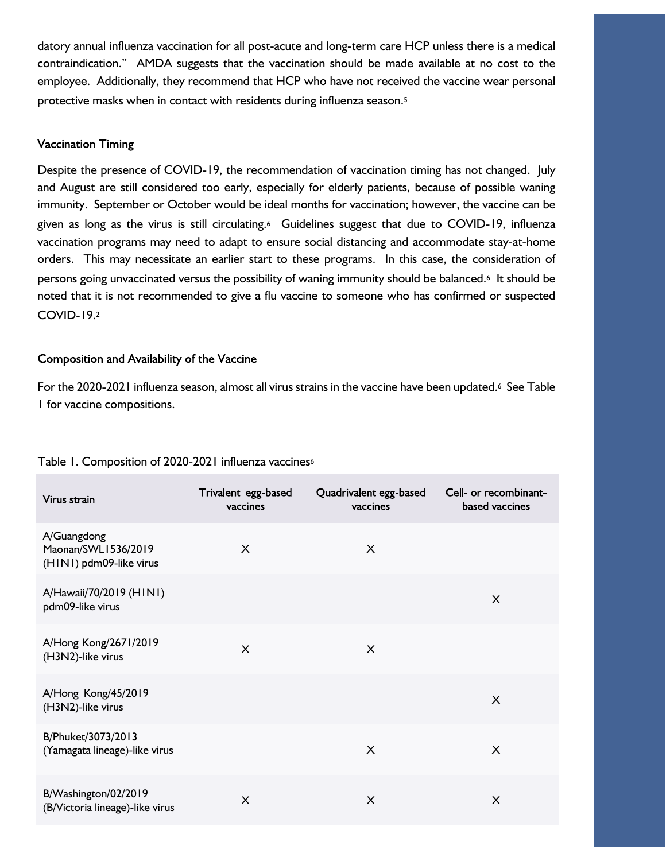datory annual influenza vaccination for all post-acute and long-term care HCP unless there is a medical contraindication." AMDA suggests that the vaccination should be made available at no cost to the employee. Additionally, they recommend that HCP who have not received the vaccine wear personal protective masks when in contact with residents during influenza season.<sup>5</sup>

## **Vaccination Timing**

Despite the presence of COVID-19, the recommendation of vaccination timing has not changed. July and August are still considered too early, especially for elderly patients, because of possible waning immunity. September or October would be ideal months for vaccination; however, the vaccine can be given as long as the virus is still circulating.6 Guidelines suggest that due to COVID-19, influenza vaccination programs may need to adapt to ensure social distancing and accommodate stay-at-home orders. This may necessitate an earlier start to these programs. In this case, the consideration of persons going unvaccinated versus the possibility of waning immunity should be balanced.6 It should be noted that it is not recommended to give a flu vaccine to someone who has confirmed or suspected COVID-19.<sup>2</sup>

# Composition and Availability of the Vaccine

For the 2020-2021 influenza season, almost all virus strains in the vaccine have been updated.6 See Table 1 for vaccine compositions.

| Virus strain                                                  | Trivalent egg-based<br>vaccines | Quadrivalent egg-based<br>vaccines | Cell- or recombinant-<br>based vaccines |
|---------------------------------------------------------------|---------------------------------|------------------------------------|-----------------------------------------|
| A/Guangdong<br>Maonan/SWL1536/2019<br>(HINI) pdm09-like virus | $\mathsf{X}$                    | X                                  |                                         |
| A/Hawaii/70/2019 (HINI)<br>pdm09-like virus                   |                                 |                                    | X                                       |
| A/Hong Kong/2671/2019<br>(H3N2)-like virus                    | X                               | X                                  |                                         |
| A/Hong Kong/45/2019<br>(H3N2)-like virus                      |                                 |                                    | X                                       |
| B/Phuket/3073/2013<br>(Yamagata lineage)-like virus           |                                 | X                                  | X                                       |
| B/Washington/02/2019<br>(B/Victoria lineage)-like virus       | X                               | X                                  | X                                       |

## Table 1. Composition of 2020-2021 influenza vaccines<sup>6</sup>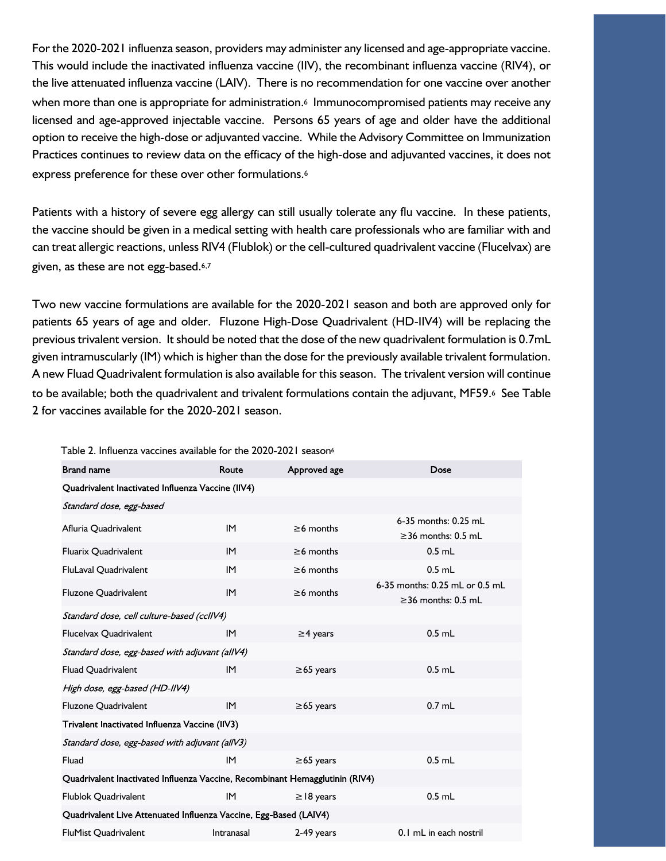For the 2020-2021 influenza season, providers may administer any licensed and age-appropriate vaccine. This would include the inactivated influenza vaccine (IIV), the recombinant influenza vaccine (RIV4), or the live attenuated influenza vaccine (LAIV). There is no recommendation for one vaccine over another when more than one is appropriate for administration.<sup>6</sup> Immunocompromised patients may receive any licensed and age-approved injectable vaccine. Persons 65 years of age and older have the additional option to receive the high-dose or adjuvanted vaccine. While the Advisory Committee on Immunization Practices continues to review data on the efficacy of the high-dose and adjuvanted vaccines, it does not express preference for these over other formulations.<sup>6</sup>

Patients with a history of severe egg allergy can still usually tolerate any flu vaccine. In these patients, the vaccine should be given in a medical setting with health care professionals who are familiar with and can treat allergic reactions, unless RIV4 (Flublok) or the cell-cultured quadrivalent vaccine (Flucelvax) are given, as these are not egg-based.6,7

Two new vaccine formulations are available for the 2020-2021 season and both are approved only for patients 65 years of age and older. Fluzone High-Dose Quadrivalent (HD-IIV4) will be replacing the previous trivalent version. It should be noted that the dose of the new quadrivalent formulation is 0.7mL given intramuscularly (IM) which is higher than the dose for the previously available trivalent formulation. A new Fluad Quadrivalent formulation is also available for this season. The trivalent version will continue to be available; both the quadrivalent and trivalent formulations contain the adjuvant, MF59.6 See Table 2 for vaccines available for the 2020-2021 season.

| <b>Brand name</b>                                                            | Route      | Approved age    | Dose                                                       |  |  |
|------------------------------------------------------------------------------|------------|-----------------|------------------------------------------------------------|--|--|
| Quadrivalent Inactivated Influenza Vaccine (IIV4)                            |            |                 |                                                            |  |  |
| Standard dose, egg-based                                                     |            |                 |                                                            |  |  |
| Afluria Quadrivalent                                                         | IM         | $\geq 6$ months | 6-35 months: 0.25 mL<br>$\geq$ 36 months: 0.5 mL           |  |  |
| <b>Fluarix Quadrivalent</b>                                                  | <b>IM</b>  | $\geq$ 6 months | $0.5$ mL                                                   |  |  |
| FluLaval Quadrivalent                                                        | IM         | $\geq 6$ months | $0.5$ mL                                                   |  |  |
| <b>Fluzone Quadrivalent</b>                                                  | IM         | $\geq 6$ months | 6-35 months: 0.25 mL or 0.5 mL<br>$\geq$ 36 months: 0.5 mL |  |  |
| Standard dose, cell culture-based (ccllV4)                                   |            |                 |                                                            |  |  |
| Flucelvax Quadrivalent                                                       | IM         | $\geq$ 4 years  | $0.5$ mL                                                   |  |  |
| Standard dose, egg-based with adjuvant (allV4)                               |            |                 |                                                            |  |  |
| <b>Fluad Quadrivalent</b>                                                    | IM         | $\geq 65$ years | $0.5$ mL                                                   |  |  |
| High dose, egg-based (HD-IIV4)                                               |            |                 |                                                            |  |  |
| <b>Fluzone Quadrivalent</b>                                                  | IM         | $\geq 65$ years | $0.7$ mL                                                   |  |  |
| Trivalent Inactivated Influenza Vaccine (IIV3)                               |            |                 |                                                            |  |  |
| Standard dose, egg-based with adjuvant (allV3)                               |            |                 |                                                            |  |  |
| Fluad                                                                        | IM         | $\geq 65$ years | $0.5$ mL                                                   |  |  |
| Quadrivalent Inactivated Influenza Vaccine, Recombinant Hemagglutinin (RIV4) |            |                 |                                                            |  |  |
| Flublok Quadrivalent                                                         | IM         | $\geq$ 18 years | $0.5$ mL                                                   |  |  |
| Quadrivalent Live Attenuated Influenza Vaccine, Egg-Based (LAIV4)            |            |                 |                                                            |  |  |
| <b>FluMist Quadrivalent</b>                                                  | Intranasal | 2-49 years      | 0.1 mL in each nostril                                     |  |  |

#### Table 2. Influenza vaccines available for the 2020-2021 season<sup>6</sup>